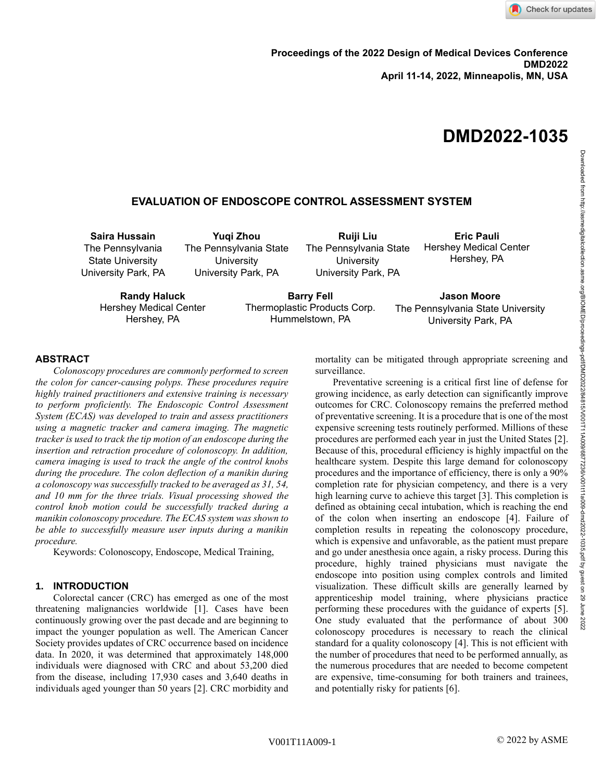# **DMD2022-1035**

# **EVALUATION OF ENDOSCOPE CONTROL ASSESSMENT SYSTEM**

**Saira Hussain** The Pennsylvania State University University Park, PA

**Yuqi Zhou** The Pennsylvania State **University** University Park, PA

**Ruiji Liu** The Pennsylvania State **University** University Park, PA

**Eric Pauli** Hershey Medical Center Hershey, PA

**Randy Haluck** Hershey Medical Center Hershey, PA

**Barry Fell** Thermoplastic Products Corp. Hummelstown, PA

**Jason Moore** The Pennsylvania State University University Park, PA

# **ABSTRACT**

*Colonoscopy procedures are commonly performed to screen the colon for cancer-causing polyps. These procedures require highly trained practitioners and extensive training is necessary to perform proficiently. The Endoscopic Control Assessment System (ECAS) was developed to train and assess practitioners using a magnetic tracker and camera imaging. The magnetic tracker is used to track the tip motion of an endoscope during the insertion and retraction procedure of colonoscopy. In addition, camera imaging is used to track the angle of the control knobs during the procedure. The colon deflection of a manikin during a colonoscopy was successfully tracked to be averaged as 31, 54, and 10 mm for the three trials. Visual processing showed the control knob motion could be successfully tracked during a manikin colonoscopy procedure. The ECAS system was shown to be able to successfully measure user inputs during a manikin procedure.*

Keywords: Colonoscopy, Endoscope, Medical Training,

#### **1. INTRODUCTION**

Colorectal cancer (CRC) has emerged as one of the most threatening malignancies worldwide [1]. Cases have been continuously growing over the past decade and are beginning to impact the younger population as well. The American Cancer Society provides updates of CRC occurrence based on incidence data. In 2020, it was determined that approximately 148,000 individuals were diagnosed with CRC and about 53,200 died from the disease, including 17,930 cases and 3,640 deaths in individuals aged younger than 50 years [2]. CRC morbidity and

mortality can be mitigated through appropriate screening and surveillance.

Preventative screening is a critical first line of defense for growing incidence, as early detection can significantly improve outcomes for CRC. Colonoscopy remains the preferred method of preventative screening. It is a procedure that is one of the most expensive screening tests routinely performed. Millions of these procedures are performed each year in just the United States [2]. Because of this, procedural efficiency is highly impactful on the healthcare system. Despite this large demand for colonoscopy procedures and the importance of efficiency, there is only a 90% completion rate for physician competency, and there is a very high learning curve to achieve this target [3]. This completion is defined as obtaining cecal intubation, which is reaching the end of the colon when inserting an endoscope [4]. Failure of completion results in repeating the colonoscopy procedure, which is expensive and unfavorable, as the patient must prepare and go under anesthesia once again, a risky process. During this procedure, highly trained physicians must navigate the endoscope into position using complex controls and limited visualization. These difficult skills are generally learned by apprenticeship model training, where physicians practice performing these procedures with the guidance of experts [5]. One study evaluated that the performance of about 300 colonoscopy procedures is necessary to reach the clinical standard for a quality colonoscopy [4]. This is not efficient with the number of procedures that need to be performed annually, as the numerous procedures that are needed to become competent are expensive, time-consuming for both trainers and trainees, and potentially risky for patients [6].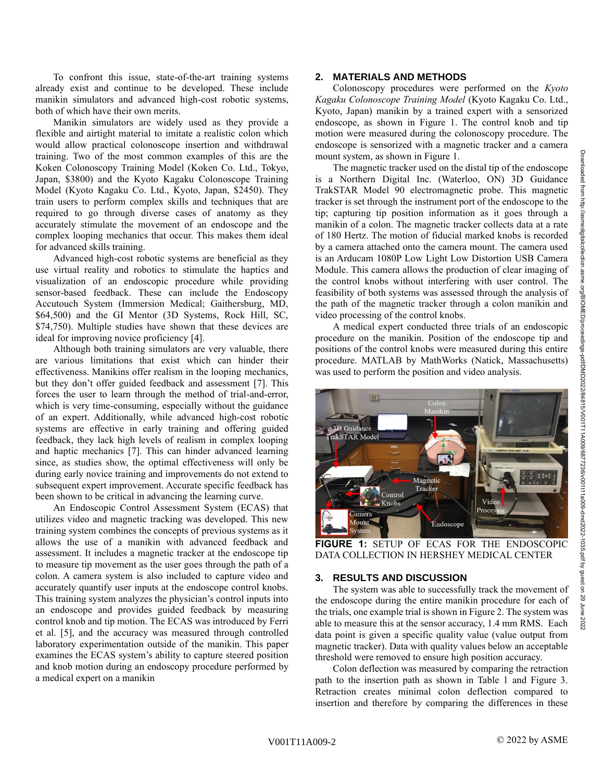To confront this issue, state-of-the-art training systems already exist and continue to be developed. These include manikin simulators and advanced high-cost robotic systems, both of which have their own merits.

Manikin simulators are widely used as they provide a flexible and airtight material to imitate a realistic colon which would allow practical colonoscope insertion and withdrawal training. Two of the most common examples of this are the Koken Colonoscopy Training Model (Koken Co. Ltd., Tokyo, Japan, \$3800) and the Kyoto Kagaku Colonoscope Training Model (Kyoto Kagaku Co. Ltd., Kyoto, Japan, \$2450). They train users to perform complex skills and techniques that are required to go through diverse cases of anatomy as they accurately stimulate the movement of an endoscope and the complex looping mechanics that occur. This makes them ideal for advanced skills training.

Advanced high-cost robotic systems are beneficial as they use virtual reality and robotics to stimulate the haptics and visualization of an endoscopic procedure while providing sensor-based feedback. These can include the Endoscopy Accutouch System (Immersion Medical; Gaithersburg, MD, \$64,500) and the GI Mentor (3D Systems, Rock Hill, SC, \$74,750). Multiple studies have shown that these devices are ideal for improving novice proficiency [4].

Although both training simulators are very valuable, there are various limitations that exist which can hinder their effectiveness. Manikins offer realism in the looping mechanics, but they don't offer guided feedback and assessment [7]. This forces the user to learn through the method of trial-and-error, which is very time-consuming, especially without the guidance of an expert. Additionally, while advanced high-cost robotic systems are effective in early training and offering guided feedback, they lack high levels of realism in complex looping and haptic mechanics [7]. This can hinder advanced learning since, as studies show, the optimal effectiveness will only be during early novice training and improvements do not extend to subsequent expert improvement. Accurate specific feedback has been shown to be critical in advancing the learning curve.

An Endoscopic Control Assessment System (ECAS) that utilizes video and magnetic tracking was developed. This new training system combines the concepts of previous systems as it allows the use of a manikin with advanced feedback and assessment. It includes a magnetic tracker at the endoscope tip to measure tip movement as the user goes through the path of a colon. A camera system is also included to capture video and accurately quantify user inputs at the endoscope control knobs. This training system analyzes the physician's control inputs into an endoscope and provides guided feedback by measuring control knob and tip motion. The ECAS was introduced by Ferri et al. [5], and the accuracy was measured through controlled laboratory experimentation outside of the manikin. This paper examines the ECAS system's ability to capture steered position and knob motion during an endoscopy procedure performed by a medical expert on a manikin

#### **2. MATERIALS AND METHODS**

Colonoscopy procedures were performed on the *Kyoto Kagaku Colonoscope Training Model* (Kyoto Kagaku Co. Ltd., Kyoto, Japan) manikin by a trained expert with a sensorized endoscope, as shown in Figure 1. The control knob and tip motion were measured during the colonoscopy procedure. The endoscope is sensorized with a magnetic tracker and a camera mount system, as shown in Figure 1.

The magnetic tracker used on the distal tip of the endoscope is a Northern Digital Inc. (Waterloo, ON) 3D Guidance TrakSTAR Model 90 electromagnetic probe. This magnetic tracker is set through the instrument port of the endoscope to the tip; capturing tip position information as it goes through a manikin of a colon. The magnetic tracker collects data at a rate of 180 Hertz. The motion of fiducial marked knobs is recorded by a camera attached onto the camera mount. The camera used is an Arducam 1080P Low Light Low Distortion USB Camera Module. This camera allows the production of clear imaging of the control knobs without interfering with user control. The feasibility of both systems was assessed through the analysis of the path of the magnetic tracker through a colon manikin and video processing of the control knobs.

A medical expert conducted three trials of an endoscopic procedure on the manikin. Position of the endoscope tip and positions of the control knobs were measured during this entire procedure. MATLAB by MathWorks (Natick, Massachusetts) was used to perform the position and video analysis.



**FIGURE 1:** SETUP OF ECAS FOR THE ENDOSCOPIC DATA COLLECTION IN HERSHEY MEDICAL CENTER

#### **3. RESULTS AND DISCUSSION**

The system was able to successfully track the movement of the endoscope during the entire manikin procedure for each of the trials, one example trial is shown in Figure 2. The system was able to measure this at the sensor accuracy, 1.4 mm RMS. Each data point is given a specific quality value (value output from magnetic tracker). Data with quality values below an acceptable threshold were removed to ensure high position accuracy.

Colon deflection was measured by comparing the retraction path to the insertion path as shown in Table 1 and Figure 3. Retraction creates minimal colon deflection compared to insertion and therefore by comparing the differences in these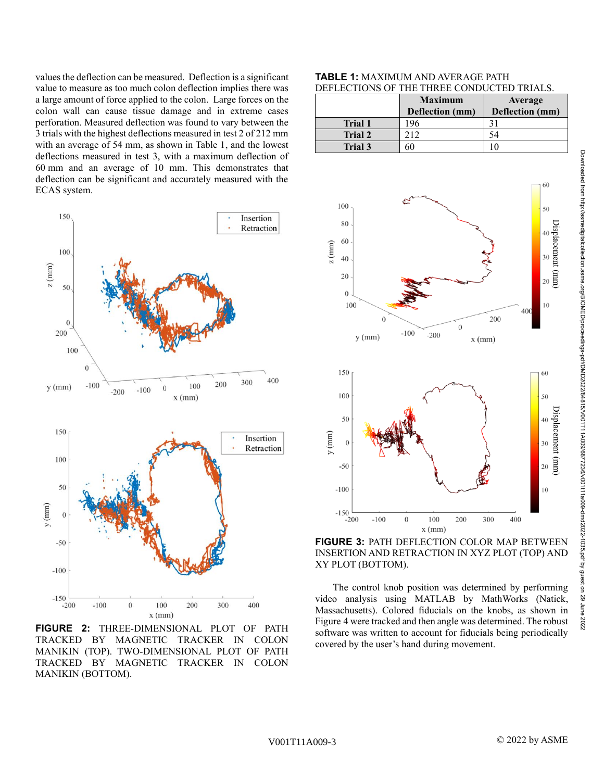values the deflection can be measured. Deflection is a significant value to measure as too much colon deflection implies there was a large amount of force applied to the colon. Large forces on the colon wall can cause tissue damage and in extreme cases perforation. Measured deflection was found to vary between the 3 trials with the highest deflections measured in test 2 of 212 mm with an average of 54 mm, as shown in Table 1, and the lowest deflections measured in test 3, with a maximum deflection of 60 mm and an average of 10 mm. This demonstrates that deflection can be significant and accurately measured with the ECAS system.



**FIGURE 2:** THREE-DIMENSIONAL PLOT OF PATH TRACKED BY MAGNETIC TRACKER IN COLON MANIKIN (TOP). TWO-DIMENSIONAL PLOT OF PATH TRACKED BY MAGNETIC TRACKER IN COLON MANIKIN (BOTTOM).

### **TABLE 1:** MAXIMUM AND AVERAGE PATH DEFLECTIONS OF THE THREE CONDUCTED TRIALS.

|                | <b>Maximum</b>  | Average         |
|----------------|-----------------|-----------------|
|                | Deflection (mm) | Deflection (mm) |
| <b>Trial 1</b> | 96 ا            |                 |
| <b>Trial 2</b> | 212             | 54              |
| Trial 3        | 60              |                 |



## **FIGURE 3:** PATH DEFLECTION COLOR MAP BETWEEN INSERTION AND RETRACTION IN XYZ PLOT (TOP) AND XY PLOT (BOTTOM).

The control knob position was determined by performing video analysis using MATLAB by MathWorks (Natick, Massachusetts). Colored fiducials on the knobs, as shown in Figure 4 were tracked and then angle was determined. The robust software was written to account for fiducials being periodically covered by the user's hand during movement.